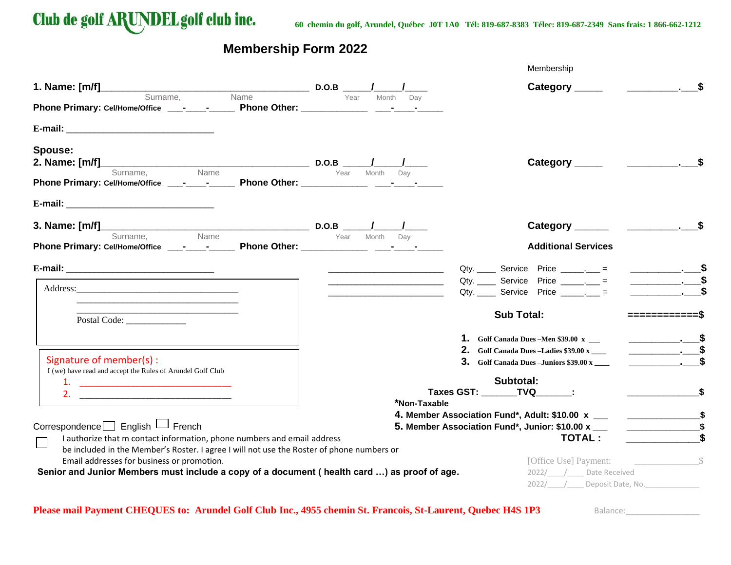

# **Membership Form 2022**

|                                                                                                                                         |                                                                                                                       | Membership                                                                           |  |
|-----------------------------------------------------------------------------------------------------------------------------------------|-----------------------------------------------------------------------------------------------------------------------|--------------------------------------------------------------------------------------|--|
| <b>1. Name:</b> $[m/f]$ Surname, Name D.O.B $\frac{1}{\gamma_{\text{ear}}}$ Month Day                                                   |                                                                                                                       |                                                                                      |  |
|                                                                                                                                         |                                                                                                                       |                                                                                      |  |
|                                                                                                                                         |                                                                                                                       |                                                                                      |  |
| Spouse:                                                                                                                                 |                                                                                                                       |                                                                                      |  |
|                                                                                                                                         |                                                                                                                       |                                                                                      |  |
|                                                                                                                                         |                                                                                                                       |                                                                                      |  |
| <b>3. Name:</b> $[m/f]$ Surname, Name <b>D.O.B</b> $\frac{1}{\gamma_{\text{ear}}}$ Month Day                                            |                                                                                                                       |                                                                                      |  |
|                                                                                                                                         |                                                                                                                       | <b>Additional Services</b>                                                           |  |
|                                                                                                                                         |                                                                                                                       |                                                                                      |  |
|                                                                                                                                         | <u> 1989 - Johann Harry Harry Harry Harry Harry Harry Harry Harry Harry Harry Harry Harry Harry Harry Harry Harry</u> | $Qty.$ Service Price $\frac{1}{1}$ =                                                 |  |
| <u> 1989 - Johann Stoff, Amerikaansk politiker (* 1908)</u>                                                                             |                                                                                                                       | Qty. _______ Service Price _______. =                                                |  |
| Postal Code:                                                                                                                            |                                                                                                                       | <b>Sub Total:</b>                                                                    |  |
|                                                                                                                                         |                                                                                                                       | 1. Golf Canada Dues - Men \$39.00 x __                                               |  |
| Signature of member(s):                                                                                                                 |                                                                                                                       | $\overline{\phantom{a}}$ \$<br><b>2.</b> Golf Canada Dues -Ladies $$39.00 \text{ x}$ |  |
| I (we) have read and accept the Rules of Arundel Golf Club                                                                              |                                                                                                                       | $3.$ Golf Canada Dues - Juniors \$39.00 x                                            |  |
| 1.                                                                                                                                      |                                                                                                                       | Subtotal:                                                                            |  |
| 2.                                                                                                                                      | *Non-Taxable                                                                                                          | Taxes GST: _______TVQ________:                                                       |  |
|                                                                                                                                         |                                                                                                                       |                                                                                      |  |
| Correspondence□ English □ French                                                                                                        |                                                                                                                       | 5. Member Association Fund*, Junior: \$10.00 x ___                                   |  |
| I authorize that m contact information, phone numbers and email address                                                                 |                                                                                                                       | <b>TOTAL:</b>                                                                        |  |
| be included in the Member's Roster. I agree I will not use the Roster of phone numbers or<br>Email addresses for business or promotion. |                                                                                                                       |                                                                                      |  |
| Senior and Junior Members must include a copy of a document (health card ) as proof of age.                                             |                                                                                                                       | 2022/ / Date Received                                                                |  |
|                                                                                                                                         |                                                                                                                       | 2022/ / Deposit Date, No.                                                            |  |

## **Please mail Payment CHEQUES to: Arundel Golf Club Inc., 4955 chemin St. Francois, St-Laurent, Quebec H4S 1P3** Balance:\_\_\_\_\_\_\_\_\_\_\_\_\_\_\_\_